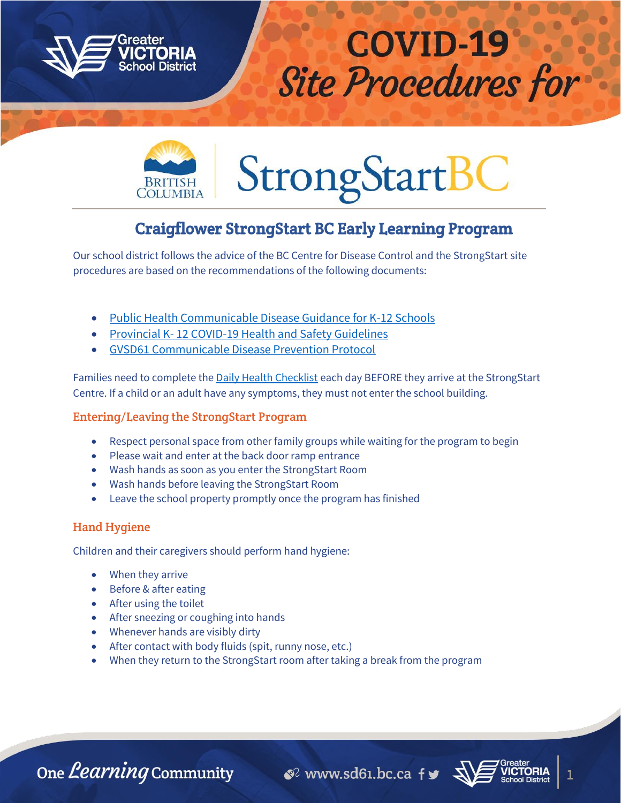



# **StrongStartB**

# Craigflower StrongStart BC Early Learning Program

Our school district follows the advice of the BC Centre for Disease Control and the StrongStart site procedures are based on the recommendations of the following documents:

- [Public Health Communicable Disease Guidance for K-12 Schools](https://www.sd61.bc.ca/wp-content/uploads/sites/91/2021/08/BCCDC-Health-Guidance-k-12-schools.pdf)
- Provincial K- [12 COVID-19 Health and Safety Guidelines](https://www.sd61.bc.ca/wp-content/uploads/sites/91/2021/08/Provincial-k-12-covid-19-health-safety-guidlines.pdf)
- [GVSD61 Communicable Disease Prevention Protocol](file:///C:/Users/lswan/Desktop/GVSD61%20Communicable%20Disease%20Prevention%20Protocol)

Families need to complete the **Daily Health Checklist** each day BEFORE they arrive at the StrongStart Centre. If a child or an adult have any symptoms, they must not enter the school building.

# Entering/Leaving the StrongStart Program

- Respect personal space from other family groups while waiting for the program to begin
- Please wait and enter at the back door ramp entrance
- Wash hands as soon as you enter the StrongStart Room
- Wash hands before leaving the StrongStart Room
- Leave the school property promptly once the program has finished

# Hand Hygiene

Children and their caregivers should perform hand hygiene:

- When they arrive
- Before & after eating
- After using the toilet
- After sneezing or coughing into hands
- Whenever hands are visibly dirty
- After contact with body fluids (spit, runny nose, etc.)
- When they return to the StrongStart room after taking a break from the program

One *Learning* Community

 $\mathcal{C}^2$  www.sd61.bc.ca fy